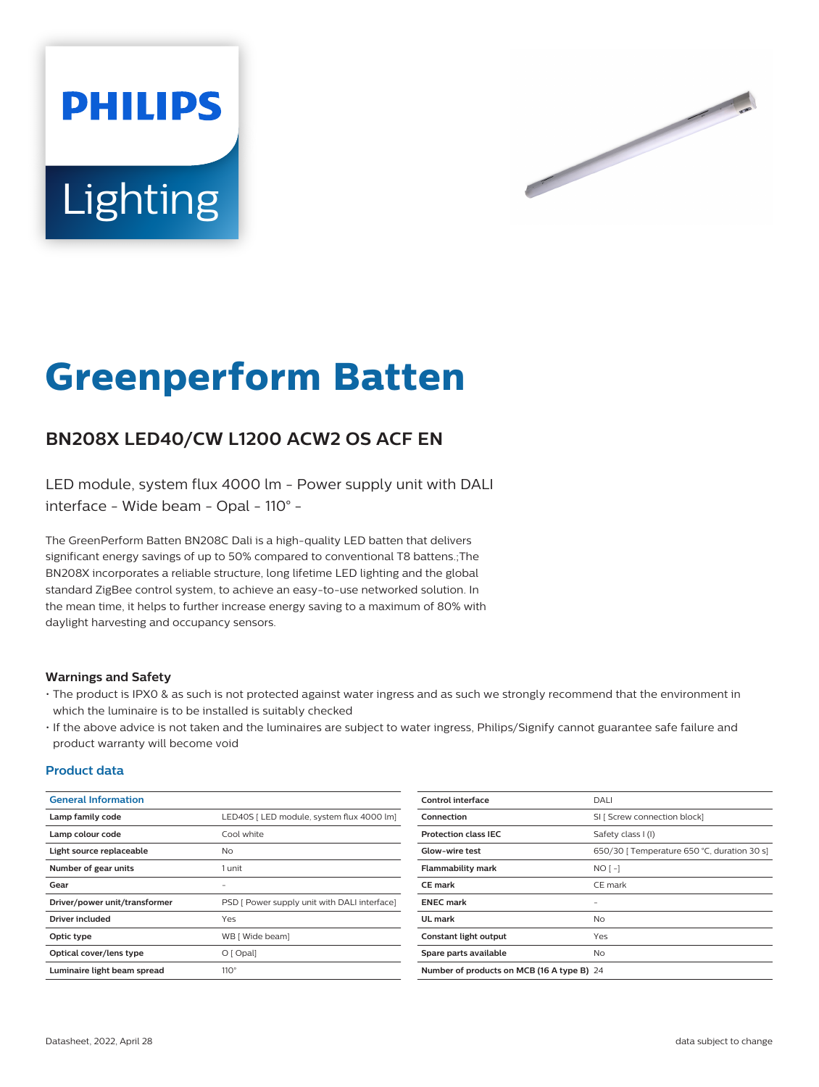



# **Greenperform Batten**

## **BN208X LED40/CW L1200 ACW2 OS ACF EN**

LED module, system flux 4000 lm - Power supply unit with DALI interface - Wide beam - Opal - 110° -

The GreenPerform Batten BN208C Dali is a high-quality LED batten that delivers significant energy savings of up to 50% compared to conventional T8 battens.;The BN208X incorporates a reliable structure, long lifetime LED lighting and the global standard ZigBee control system, to achieve an easy-to-use networked solution. In the mean time, it helps to further increase energy saving to a maximum of 80% with daylight harvesting and occupancy sensors.

#### **Warnings and Safety**

- The product is IPX0 & as such is not protected against water ingress and as such we strongly recommend that the environment in which the luminaire is to be installed is suitably checked
- If the above advice is not taken and the luminaires are subject to water ingress, Philips/Signify cannot guarantee safe failure and product warranty will become void

#### **Product data**

| <b>General Information</b>    |                                              | <b>Control interface</b>                   | DALI                                        |
|-------------------------------|----------------------------------------------|--------------------------------------------|---------------------------------------------|
| Lamp family code              | LED40S   LED module, system flux 4000 lm]    | Connection                                 | SI [ Screw connection block]                |
| Lamp colour code              | Cool white                                   | <b>Protection class IEC</b>                | Safety class I (I)                          |
| Light source replaceable      | <b>No</b>                                    | Glow-wire test                             | 650/30   Temperature 650 °C, duration 30 s] |
| Number of gear units          | 1 unit                                       | <b>Flammability mark</b>                   | $NO[-]$                                     |
| Gear                          | $\overline{\phantom{a}}$                     | <b>CE</b> mark                             | CE mark                                     |
| Driver/power unit/transformer | PSD [ Power supply unit with DALI interface] | <b>ENEC</b> mark                           | -                                           |
| <b>Driver included</b>        | Yes                                          | UL mark                                    | <b>No</b>                                   |
| Optic type                    | WB [ Wide beam]                              | Constant light output                      | Yes                                         |
| Optical cover/lens type       | O[Opal]                                      | Spare parts available                      | <b>No</b>                                   |
| Luminaire light beam spread   | $110^\circ$                                  | Number of products on MCB (16 A type B) 24 |                                             |
|                               |                                              |                                            |                                             |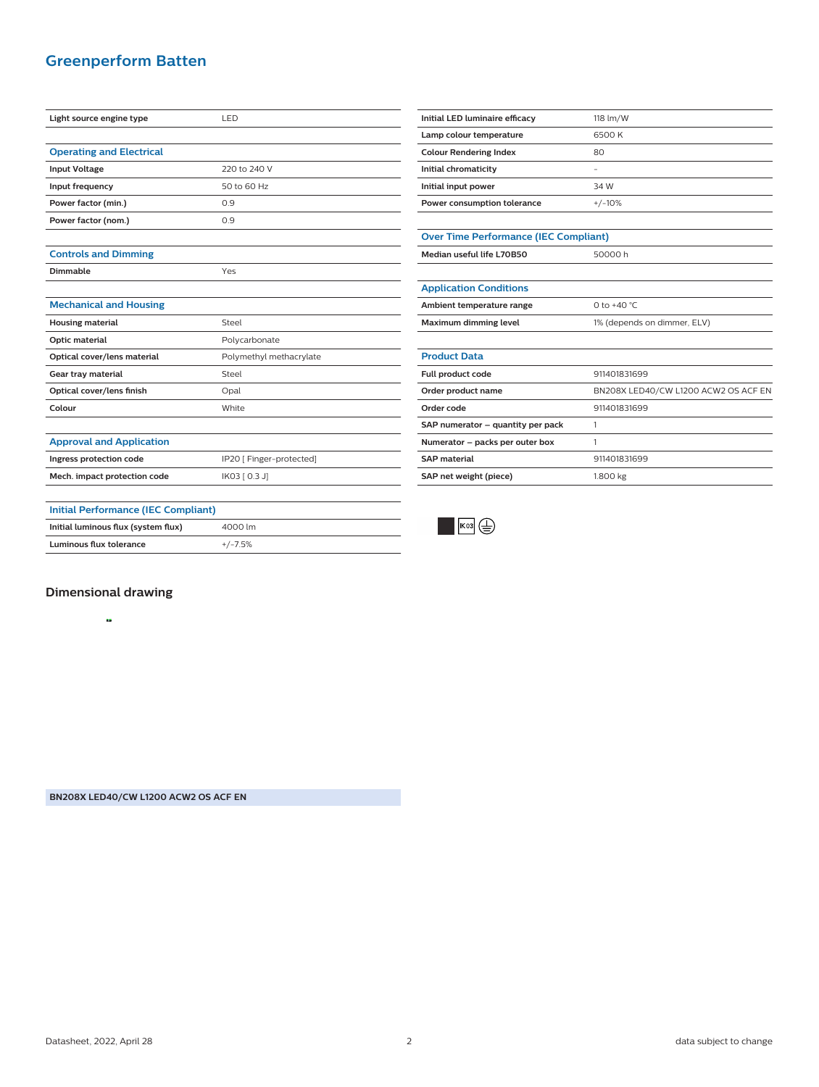### **Greenperform Batten**

| Light source engine type                   | LED                      |
|--------------------------------------------|--------------------------|
|                                            |                          |
| <b>Operating and Electrical</b>            |                          |
| <b>Input Voltage</b>                       | 220 to 240 V             |
| Input frequency                            | 50 to 60 Hz              |
| Power factor (min.)                        | 0.9                      |
| Power factor (nom.)                        | 0.9                      |
|                                            |                          |
| <b>Controls and Dimming</b>                |                          |
| Dimmable                                   | Yes                      |
|                                            |                          |
| <b>Mechanical and Housing</b>              |                          |
| <b>Housing material</b>                    | Steel                    |
| Optic material                             | Polycarbonate            |
| Optical cover/lens material                | Polymethyl methacrylate  |
| Gear tray material                         | Steel                    |
| Optical cover/lens finish                  | Opal                     |
| Colour                                     | White                    |
|                                            |                          |
| <b>Approval and Application</b>            |                          |
| Ingress protection code                    | IP20 [ Finger-protected] |
| Mech. impact protection code               | IK03 [ 0.3 J]            |
|                                            |                          |
| <b>Initial Performance (IEC Compliant)</b> |                          |
| Initial luminous flux (system flux)        | 4000 lm                  |
| <b>Luminous flux tolerance</b>             | $+/-7.5%$                |

| Initial LED luminaire efficacy | 118 lm/W |
|--------------------------------|----------|
| Lamp colour temperature        | 6500 K   |
| <b>Colour Rendering Index</b>  | 80       |
| Initial chromaticity           |          |
| Initial input power            | 34 W     |
| Power consumption tolerance    | $+/-10%$ |

| <b>Over Time Performance (IEC Compliant)</b> |         |
|----------------------------------------------|---------|
| Median useful life L70B50                    | 50000 h |

| Median useful life L70B50 |  |
|---------------------------|--|
|---------------------------|--|

| <b>Application Conditions</b> |                             |  |
|-------------------------------|-----------------------------|--|
| Ambient temperature range     | 0 to +40 °C.                |  |
| Maximum dimming level         | 1% (depends on dimmer, ELV) |  |

## **Product Data**

| <b>Full product code</b>          | 911401831699                         |
|-----------------------------------|--------------------------------------|
| Order product name                | BN208X LED40/CW L1200 ACW2 OS ACF EN |
| Order code                        | 911401831699                         |
| SAP numerator - quantity per pack |                                      |
| Numerator - packs per outer box   |                                      |
| <b>SAP material</b>               | 911401831699                         |
| SAP net weight (piece)            | 1.800 kg                             |



**Dimensional drawing**

<sup>A</sup> B<sup>58</sup> <sup>57</sup> C57 58

**BN208X LED40/CW L1200 ACW2 OS ACF EN**